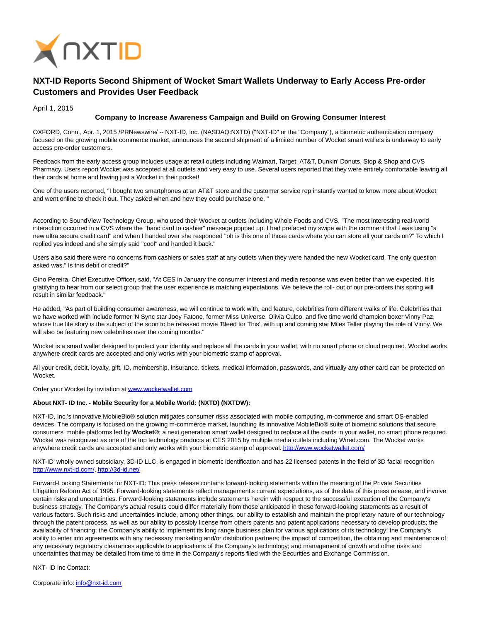

## **NXT-ID Reports Second Shipment of Wocket Smart Wallets Underway to Early Access Pre-order Customers and Provides User Feedback**

April 1, 2015

## **Company to Increase Awareness Campaign and Build on Growing Consumer Interest**

OXFORD, Conn., Apr. 1, 2015 /PRNewswire/ -- NXT-ID, Inc. (NASDAQ:NXTD) ("NXT-ID" or the "Company"), a biometric authentication company focused on the growing mobile commerce market, announces the second shipment of a limited number of Wocket smart wallets is underway to early access pre-order customers.

Feedback from the early access group includes usage at retail outlets including Walmart, Target, AT&T, Dunkin' Donuts, Stop & Shop and CVS Pharmacy. Users report Wocket was accepted at all outlets and very easy to use. Several users reported that they were entirely comfortable leaving all their cards at home and having just a Wocket in their pocket!

One of the users reported, "I bought two smartphones at an AT&T store and the customer service rep instantly wanted to know more about Wocket and went online to check it out. They asked when and how they could purchase one. "

According to SoundView Technology Group, who used their Wocket at outlets including Whole Foods and CVS, "The most interesting real-world interaction occurred in a CVS where the "hand card to cashier" message popped up. I had prefaced my swipe with the comment that I was using "a new ultra secure credit card" and when I handed over she responded "oh is this one of those cards where you can store all your cards on?" To which I replied yes indeed and she simply said "cool" and handed it back."

Users also said there were no concerns from cashiers or sales staff at any outlets when they were handed the new Wocket card. The only question asked was," Is this debit or credit?"

Gino Pereira, Chief Executive Officer, said, "At CES in January the consumer interest and media response was even better than we expected. It is gratifying to hear from our select group that the user experience is matching expectations. We believe the roll- out of our pre-orders this spring will result in similar feedback."

He added, "As part of building consumer awareness, we will continue to work with, and feature, celebrities from different walks of life. Celebrities that we have worked with include former 'N Sync star Joey Fatone, former Miss Universe, Olivia Culpo, and five time world champion boxer Vinny Paz, whose true life story is the subject of the soon to be released movie 'Bleed for This', with up and coming star Miles Teller playing the role of Vinny. We will also be featuring new celebrities over the coming months."

Wocket is a smart wallet designed to protect your identity and replace all the cards in your wallet, with no smart phone or cloud required. Wocket works anywhere credit cards are accepted and only works with your biometric stamp of approval.

All your credit, debit, loyalty, gift, ID, membership, insurance, tickets, medical information, passwords, and virtually any other card can be protected on Wocket.

Order your Wocket by invitation a[t www.wocketwallet.com](http://www.wocketwallet.com/)

## **About NXT- ID Inc. - Mobile Security for a Mobile World: (NXTD) (NXTDW):**

NXT-ID, Inc.'s innovative MobileBio® solution mitigates consumer risks associated with mobile computing, m-commerce and smart OS-enabled devices. The company is focused on the growing m-commerce market, launching its innovative MobileBio® suite of biometric solutions that secure consumers' mobile platforms led by **Wocket®**; a next generation smart wallet designed to replace all the cards in your wallet, no smart phone required. Wocket was recognized as one of the top technology products at CES 2015 by multiple media outlets including Wired.com. The Wocket works anywhere credit cards are accepted and only works with your biometric stamp of approval[. http://www.wocketwallet.com/](http://www.wocketwallet.com/)

NXT-ID' wholly owned subsidiary, 3D-ID LLC, is engaged in biometric identification and has 22 licensed patents in the field of 3D facial recognition [http://www.nxt-id.com/,](http://www.nxt-id.com/)<http://3d-id.net/>

Forward-Looking Statements for NXT-ID: This press release contains forward-looking statements within the meaning of the Private Securities Litigation Reform Act of 1995. Forward-looking statements reflect management's current expectations, as of the date of this press release, and involve certain risks and uncertainties. Forward-looking statements include statements herein with respect to the successful execution of the Company's business strategy. The Company's actual results could differ materially from those anticipated in these forward-looking statements as a result of various factors. Such risks and uncertainties include, among other things, our ability to establish and maintain the proprietary nature of our technology through the patent process, as well as our ability to possibly license from others patents and patent applications necessary to develop products; the availability of financing; the Company's ability to implement its long range business plan for various applications of its technology; the Company's ability to enter into agreements with any necessary marketing and/or distribution partners; the impact of competition, the obtaining and maintenance of any necessary regulatory clearances applicable to applications of the Company's technology; and management of growth and other risks and uncertainties that may be detailed from time to time in the Company's reports filed with the Securities and Exchange Commission.

NXT- ID Inc Contact: